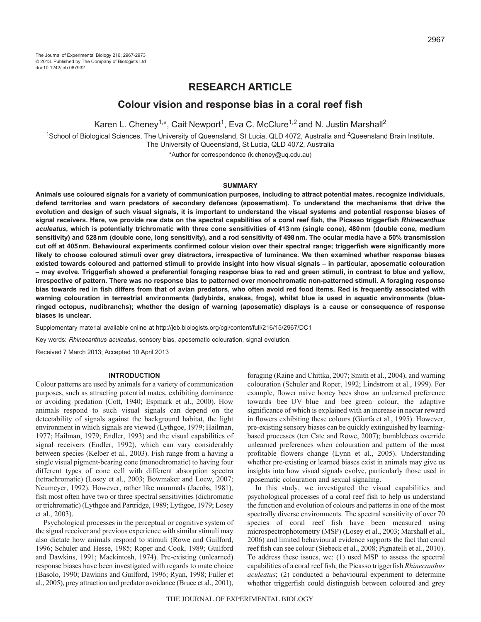# **RESEARCH ARTICLE**

# **Colour vision and response bias in a coral reef fish**

Karen L. Cheney<sup>1,\*</sup>, Cait Newport<sup>1</sup>, Eva C. McClure<sup>1,2</sup> and N. Justin Marshall<sup>2</sup>

<sup>1</sup>School of Biological Sciences, The University of Queensland, St Lucia, QLD 4072, Australia and <sup>2</sup>Queensland Brain Institute, The University of Queensland, St Lucia, QLD 4072, Australia

\*Author for correspondence (k.cheney@uq.edu.au)

## **SUMMARY**

**Animals use coloured signals for a variety of communication purposes, including to attract potential mates, recognize individuals, defend territories and warn predators of secondary defences (aposematism). To understand the mechanisms that drive the evolution and design of such visual signals, it is important to understand the visual systems and potential response biases of signal receivers. Here, we provide raw data on the spectral capabilities of a coral reef fish, the Picasso triggerfish** *Rhinecanthus aculeatus***, which is potentially trichromatic with three cone sensitivities of 413nm (single cone), 480nm (double cone, medium sensitivity) and 528nm (double cone, long sensitivity), and a rod sensitivity of 498nm. The ocular media have a 50% transmission cut off at 405nm. Behavioural experiments confirmed colour vision over their spectral range; triggerfish were significantly more likely to choose coloured stimuli over grey distractors, irrespective of luminance. We then examined whether response biases existed towards coloured and patterned stimuli to provide insight into how visual signals – in particular, aposematic colouration – may evolve. Triggerfish showed a preferential foraging response bias to red and green stimuli, in contrast to blue and yellow, irrespective of pattern. There was no response bias to patterned over monochromatic non-patterned stimuli. A foraging response bias towards red in fish differs from that of avian predators, who often avoid red food items. Red is frequently associated with warning colouration in terrestrial environments (ladybirds, snakes, frogs), whilst blue is used in aquatic environments (blueringed octopus, nudibranchs); whether the design of warning (aposematic) displays is a cause or consequence of response biases is unclear.**

Supplementary material available online at http://jeb.biologists.org/cgi/content/full/216/15/2967/DC1

Key words: *Rhinecanthus aculeatus*, sensory bias, aposematic colouration, signal evolution.

Received 7 March 2013; Accepted 10 April 2013

# **INTRODUCTION**

Colour patterns are used by animals for a variety of communication purposes, such as attracting potential mates, exhibiting dominance or avoiding predation (Cott, 1940; Espmark et al., 2000). How animals respond to such visual signals can depend on the detectability of signals against the background habitat, the light environment in which signals are viewed (Lythgoe, 1979; Hailman, 1977; Hailman, 1979; Endler, 1993) and the visual capabilities of signal receivers (Endler, 1992), which can vary considerably between species (Kelber et al., 2003). Fish range from a having a single visual pigment-bearing cone (monochromatic) to having four different types of cone cell with different absorption spectra (tetrachromatic) (Losey et al., 2003; Bowmaker and Loew, 2007; Neumeyer, 1992). However, rather like mammals (Jacobs, 1981), fish most often have two or three spectral sensitivities (dichromatic or trichromatic) (Lythgoe and Partridge, 1989; Lythgoe, 1979; Losey et al., 2003).

Psychological processes in the perceptual or cognitive system of the signal receiver and previous experience with similar stimuli may also dictate how animals respond to stimuli (Rowe and Guilford, 1996; Schuler and Hesse, 1985; Roper and Cook, 1989; Guilford and Dawkins, 1991; Mackintosh, 1974). Pre-existing (unlearned) response biases have been investigated with regards to mate choice (Basolo, 1990; Dawkins and Guilford, 1996; Ryan, 1998; Fuller et al., 2005), prey attraction and predator avoidance (Bruce et al., 2001),

foraging (Raine and Chittka, 2007; Smith et al., 2004), and warning colouration (Schuler and Roper, 1992; Lindstrom et al., 1999). For example, flower naive honey bees show an unlearned preference towards bee–UV–blue and bee–green colour, the adaptive significance of which is explained with an increase in nectar reward in flowers exhibiting these colours (Giurfa et al., 1995). However, pre-existing sensory biases can be quickly extinguished by learningbased processes (ten Cate and Rowe, 2007); bumblebees override unlearned preferences when colouration and pattern of the most profitable flowers change (Lynn et al., 2005). Understanding whether pre-existing or learned biases exist in animals may give us insights into how visual signals evolve, particularly those used in aposematic colouration and sexual signaling.

In this study, we investigated the visual capabilities and psychological processes of a coral reef fish to help us understand the function and evolution of colours and patterns in one of the most spectrally diverse environments. The spectral sensitivity of over 70 species of coral reef fish have been measured using microspectrophotometry (MSP) (Losey et al., 2003; Marshall et al., 2006) and limited behavioural evidence supports the fact that coral reef fish can see colour (Siebeck et al., 2008; Pignatelli et al., 2010). To address these issues, we: (1) used MSP to assess the spectral capabilities of a coral reef fish, the Picasso triggerfish *Rhinecanthus aculeatus*; (2) conducted a behavioural experiment to determine whether triggerfish could distinguish between coloured and grey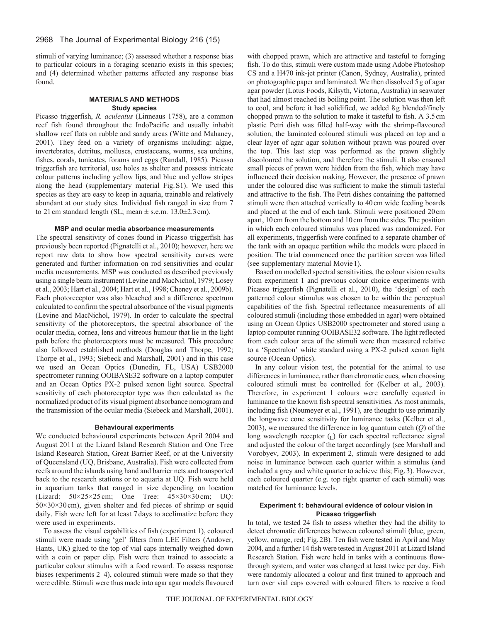stimuli of varying luminance; (3) assessed whether a response bias to particular colours in a foraging scenario exists in this species; and (4) determined whether patterns affected any response bias found.

## **MATERIALS AND METHODS Study species**

Picasso triggerfish, *R. aculeatus* (Linneaus 1758), are a common reef fish found throughout the IndoPacific and usually inhabit shallow reef flats on rubble and sandy areas (Witte and Mahaney, 2001). They feed on a variety of organisms including: algae, invertebrates, detritus, molluscs, crustaceans, worms, sea urchins, fishes, corals, tunicates, forams and eggs (Randall, 1985). Picasso triggerfish are territorial, use holes as shelter and possess intricate colour patterns including yellow lips, and blue and yellow stripes along the head (supplementary material Fig.S1). We used this species as they are easy to keep in aquaria, trainable and relatively abundant at our study sites. Individual fish ranged in size from 7 to 21 cm standard length (SL; mean  $\pm$  s.e.m. 13.0 $\pm$ 2.3 cm).

#### **MSP and ocular media absorbance measurements**

The spectral sensitivity of cones found in Picasso triggerfish has previously been reported (Pignatelli et al., 2010); however, here we report raw data to show how spectral sensitivity curves were generated and further information on rod sensitivities and ocular media measurements. MSP was conducted as described previously using a single beam instrument (Levine and MacNichol, 1979; Losey et al., 2003; Hart et al., 2004; Hart et al., 1998; Cheney et al., 2009b). Each photoreceptor was also bleached and a difference spectrum calculated to confirm the spectral absorbance of the visual pigments (Levine and MacNichol, 1979). In order to calculate the spectral sensitivity of the photoreceptors, the spectral absorbance of the ocular media, cornea, lens and vitreous humour that lie in the light path before the photoreceptors must be measured. This procedure also followed established methods (Douglas and Thorpe, 1992; Thorpe et al., 1993; Siebeck and Marshall, 2001) and in this case we used an Ocean Optics (Dunedin, FL, USA) USB2000 spectrometer running OOIBASE32 software on a laptop computer and an Ocean Optics PX-2 pulsed xenon light source. Spectral sensitivity of each photoreceptor type was then calculated as the normalized product of its visual pigment absorbance nomogram and the transmission of the ocular media (Siebeck and Marshall, 2001).

## **Behavioural experiments**

We conducted behavioural experiments between April 2004 and August 2011 at the Lizard Island Research Station and One Tree Island Research Station, Great Barrier Reef, or at the University of Queensland (UQ, Brisbane, Australia). Fish were collected from reefs around the islands using hand and barrier nets and transported back to the research stations or to aquaria at UQ. Fish were held in aquarium tanks that ranged in size depending on location (Lizard:  $50 \times 25 \times 25$  cm; One Tree:  $45 \times 30 \times 30$  cm; UQ:  $50\times30\times30$  cm), given shelter and fed pieces of shrimp or squid daily. Fish were left for at least 7days to acclimatize before they were used in experiments.

To assess the visual capabilities of fish (experiment 1), coloured stimuli were made using 'gel' filters from LEE Filters (Andover, Hants, UK) glued to the top of vial caps internally weighed down with a coin or paper clip. Fish were then trained to associate a particular colour stimulus with a food reward. To assess response biases (experiments 2–4), coloured stimuli were made so that they were edible. Stimuli were thus made into agar agar models flavoured with chopped prawn, which are attractive and tasteful to foraging fish. To do this, stimuli were custom made using Adobe Photoshop CS and a H470 ink-jet printer (Canon, Sydney, Australia), printed on photographic paper and laminated. We then dissolved 5g of agar agar powder (Lotus Foods, Kilsyth, Victoria, Australia) in seawater that had almost reached its boiling point. The solution was then left to cool, and before it had solidified, we added 8g blended/finely chopped prawn to the solution to make it tasteful to fish. A 3.5cm plastic Petri dish was filled half-way with the shrimp-flavoured solution, the laminated coloured stimuli was placed on top and a clear layer of agar agar solution without prawn was poured over the top. This last step was performed as the prawn slightly discoloured the solution, and therefore the stimuli. It also ensured small pieces of prawn were hidden from the fish, which may have influenced their decision making. However, the presence of prawn under the coloured disc was sufficient to make the stimuli tasteful and attractive to the fish. The Petri dishes containing the patterned stimuli were then attached vertically to 40cm wide feeding boards and placed at the end of each tank. Stimuli were positioned 20cm apart, 10cm from the bottom and 10cm from the sides. The position in which each coloured stimulus was placed was randomized. For all experiments, triggerfish were confined to a separate chamber of the tank with an opaque partition while the models were placed in position. The trial commenced once the partition screen was lifted (see supplementary material Movie1).

Based on modelled spectral sensitivities, the colour vision results from experiment 1 and previous colour choice experiments with Picasso triggerfish (Pignatelli et al., 2010), the 'design' of each patterned colour stimulus was chosen to be within the perceptual capabilities of the fish. Spectral reflectance measurements of all coloured stimuli (including those embedded in agar) were obtained using an Ocean Optics USB2000 spectrometer and stored using a laptop computer running OOIBASE32 software. The light reflected from each colour area of the stimuli were then measured relative to a 'Spectralon' white standard using a PX-2 pulsed xenon light source (Ocean Optics).

In any colour vision test, the potential for the animal to use differences in luminance, rather than chromatic cues, when choosing coloured stimuli must be controlled for (Kelber et al., 2003). Therefore, in experiment 1 colours were carefully equated in luminance to the known fish spectral sensitivities. As most animals, including fish (Neumeyer et al., 1991), are thought to use primarily the longwave cone sensitivity for luminance tasks (Kelber et al., 2003), we measured the difference in log quantum catch (*Q*) of the long wavelength receptor (L) for each spectral reflectance signal and adjusted the colour of the target accordingly (see Marshall and Vorobyev, 2003). In experiment 2, stimuli were designed to add noise in luminance between each quarter within a stimulus (and included a grey and white quarter to achieve this; Fig.3). However, each coloured quarter (e.g. top right quarter of each stimuli) was matched for luminance levels.

# **Experiment 1: behavioural evidence of colour vision in Picasso triggerfish**

In total, we tested 24 fish to assess whether they had the ability to detect chromatic differences between coloured stimuli (blue, green, yellow, orange, red; Fig.2B). Ten fish were tested in April and May 2004, and a further 14 fish were tested in August 2011 at Lizard Island Research Station. Fish were held in tanks with a continuous flowthrough system, and water was changed at least twice per day. Fish were randomly allocated a colour and first trained to approach and turn over vial caps covered with coloured filters to receive a food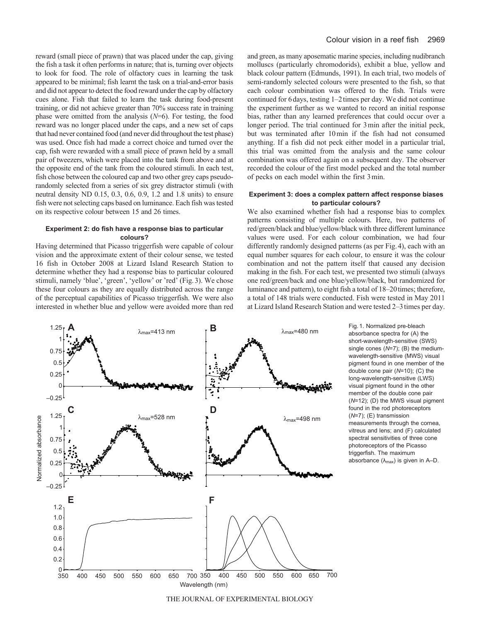reward (small piece of prawn) that was placed under the cap, giving the fish a task it often performs in nature; that is, turning over objects to look for food. The role of olfactory cues in learning the task appeared to be minimal; fish learnt the task on a trial-and-error basis and did not appear to detect the food reward under the cap by olfactory cues alone. Fish that failed to learn the task during food-present training, or did not achieve greater than 70% success rate in training phase were omitted from the analysis (*N*=6). For testing, the food reward was no longer placed under the caps, and a new set of caps that had never contained food (and never did throughout the test phase) was used. Once fish had made a correct choice and turned over the cap, fish were rewarded with a small piece of prawn held by a small pair of tweezers, which were placed into the tank from above and at the opposite end of the tank from the coloured stimuli. In each test, fish chose between the coloured cap and two other grey caps pseudorandomly selected from a series of six grey distractor stimuli (with neutral density ND 0.15, 0.3, 0.6, 0.9, 1.2 and 1.8 units) to ensure fish were not selecting caps based on luminance. Each fish was tested on its respective colour between 15 and 26 times.

#### **Experiment 2: do fish have a response bias to particular colours?**

Having determined that Picasso triggerfish were capable of colour vision and the approximate extent of their colour sense, we tested 16 fish in October 2008 at Lizard Island Research Station to determine whether they had a response bias to particular coloured stimuli, namely 'blue', 'green', 'yellow' or 'red' (Fig.3). We chose these four colours as they are equally distributed across the range of the perceptual capabilities of Picasso triggerfish. We were also interested in whether blue and yellow were avoided more than red and green, as many aposematic marine species, including nudibranch molluscs (particularly chromodorids), exhibit a blue, yellow and black colour pattern (Edmunds, 1991). In each trial, two models of semi-randomly selected colours were presented to the fish, so that each colour combination was offered to the fish. Trials were continued for 6days, testing 1–2times per day. We did not continue the experiment further as we wanted to record an initial response bias, rather than any learned preferences that could occur over a longer period. The trial continued for 3min after the initial peck, but was terminated after 10min if the fish had not consumed anything. If a fish did not peck either model in a particular trial, this trial was omitted from the analysis and the same colour combination was offered again on a subsequent day. The observer recorded the colour of the first model pecked and the total number of pecks on each model within the first 3min.

# **Experiment 3: does a complex pattern affect response biases to particular colours?**

We also examined whether fish had a response bias to complex patterns consisting of multiple colours. Here, two patterns of red/green/black and blue/yellow/black with three different luminance values were used. For each colour combination, we had four differently randomly designed patterns (as per Fig.4), each with an equal number squares for each colour, to ensure it was the colour combination and not the pattern itself that caused any decision making in the fish. For each test, we presented two stimuli (always one red/green/back and one blue/yellow/black, but randomized for luminance and pattern), to eight fish a total of 18–20times; therefore, a total of 148 trials were conducted. Fish were tested in May 2011 at Lizard Island Research Station and were tested 2–3times per day.



Fig. 1. Normalized pre-bleach absorbance spectra for (A) the short-wavelength-sensitive (SWS) single cones (*N*=7); (B) the mediumwavelength-sensitive (MWS) visual pigment found in one member of the double cone pair (*N*=10); (C) the long-wavelength-sensitive (LWS) visual pigment found in the other member of the double cone pair (*N*=12); (D) the MWS visual pigment found in the rod photoreceptors (*N*=7); (E) transmission measurements through the cornea, vitreus and lens; and (F) calculated spectral sensitivities of three cone photoreceptors of the Picasso triggerfish. The maximum absorbance  $(\lambda_{\text{max}})$  is given in A–D.

THE JOURNAL OF EXPERIMENTAL BIOLOGY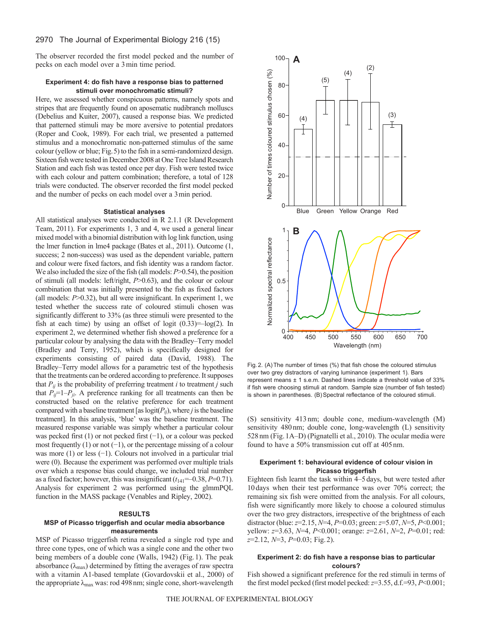The observer recorded the first model pecked and the number of pecks on each model over a 3min time period.

# **Experiment 4: do fish have a response bias to patterned stimuli over monochromatic stimuli?**

Here, we assessed whether conspicuous patterns, namely spots and stripes that are frequently found on aposematic nudibranch molluscs (Debelius and Kuiter, 2007), caused a response bias. We predicted that patterned stimuli may be more aversive to potential predators (Roper and Cook, 1989). For each trial, we presented a patterned stimulus and a monochromatic non-patterned stimulus of the same colour (yellow or blue; Fig.5) to the fish in a semi-randomized design. Sixteen fish were tested in December 2008 at One Tree Island Research Station and each fish was tested once per day. Fish were tested twice with each colour and pattern combination; therefore, a total of 128 trials were conducted. The observer recorded the first model pecked and the number of pecks on each model over a 3min period.

#### **Statistical analyses**

All statistical analyses were conducted in R 2.1.1 (R Development Team, 2011). For experiments 1, 3 and 4, we used a general linear mixed model with a binomial distribution with log link function, using the lmer function in lme4 package (Bates et al., 2011). Outcome (1, success; 2 non-success) was used as the dependent variable, pattern and colour were fixed factors, and fish identity was a random factor. We also included the size of the fish (all models: *P*>0.54), the position of stimuli (all models: left/right, *P*>0.63), and the colour or colour combination that was initially presented to the fish as fixed factors (all models: *P*>0.32), but all were insignificant. In experiment 1, we tested whether the success rate of coloured stimuli chosen was significantly different to 33% (as three stimuli were presented to the fish at each time) by using an offset of logit  $(0.33)$ =-log(2). In experiment 2, we determined whether fish showed a preference for a particular colour by analysing the data with the Bradley–Terry model (Bradley and Terry, 1952), which is specifically designed for experiments consisting of paired data (David, 1988). The Bradley–Terry model allows for a parametric test of the hypothesis that the treatments can be ordered according to preference. It supposes that  $P_{ij}$  is the probability of preferring treatment *i* to treatment *j* such that  $P_{ij}=1-P_{ji}$ . A preference ranking for all treatments can then be constructed based on the relative preference for each treatment compared with a baseline treatment [as  $logit(P_{ij})$ , where *j* is the baseline treatment]. In this analysis, 'blue' was the baseline treatment. The measured response variable was simply whether a particular colour was pecked first (1) or not pecked first (−1), or a colour was pecked most frequently (1) or not  $(-1)$ , or the percentage missing of a colour was more (1) or less (−1). Colours not involved in a particular trial were (0). Because the experiment was performed over multiple trials over which a response bias could change, we included trial number as a fixed factor; however, this was insignificant (*t*141=–0.38, *P*=0.71). Analysis for experiment 2 was performed using the glmmPQL function in the MASS package (Venables and Ripley, 2002).

# **RESULTS**

# **MSP of Picasso triggerfish and ocular media absorbance measurements**

MSP of Picasso triggerfish retina revealed a single rod type and three cone types, one of which was a single cone and the other two being members of a double cone (Walls, 1942) (Fig.1). The peak absorbance  $(\lambda_{\text{max}})$  determined by fitting the averages of raw spectra with a vitamin A1-based template (Govardovskii et al., 2000) of the appropriate  $\lambda_{\text{max}}$  was: rod 498 nm; single cone, short-wavelength



Fig. 2. (A)The number of times (%) that fish chose the coloured stimulus over two grey distractors of varying luminance (experiment 1). Bars represent means ± 1 s.e.m. Dashed lines indicate a threshold value of 33% if fish were choosing stimuli at random. Sample size (number of fish tested) is shown in parentheses. (B) Spectral reflectance of the coloured stimuli.

(S) sensitivity 413 nm; double cone, medium-wavelength (M) sensitivity 480nm; double cone, long-wavelength (L) sensitivity 528nm (Fig.1A–D) (Pignatelli et al., 2010). The ocular media were found to have a 50% transmission cut off at 405nm.

# **Experiment 1: behavioural evidence of colour vision in Picasso triggerfish**

Eighteen fish learnt the task within 4–5days, but were tested after 10days when their test performance was over 70% correct; the remaining six fish were omitted from the analysis. For all colours, fish were significantly more likely to choose a coloured stimulus over the two grey distractors, irrespective of the brightness of each distractor (blue: *z*=2.15, *N*=4, *P*=0.03; green: *z*=5.07, *N*=5, *P*<0.001; yellow: *z*=3.63, *N*=4, *P*<0.001; orange: *z*=2.61, *N*=2, *P*=0.01; red: *z*=2.12, *N*=3, *P*=0.03; Fig.2).

#### **Experiment 2: do fish have a response bias to particular colours?**

Fish showed a significant preference for the red stimuli in terms of the first model pecked (first model pecked: *z*=3.55, d.f.=93, *P*<0.001;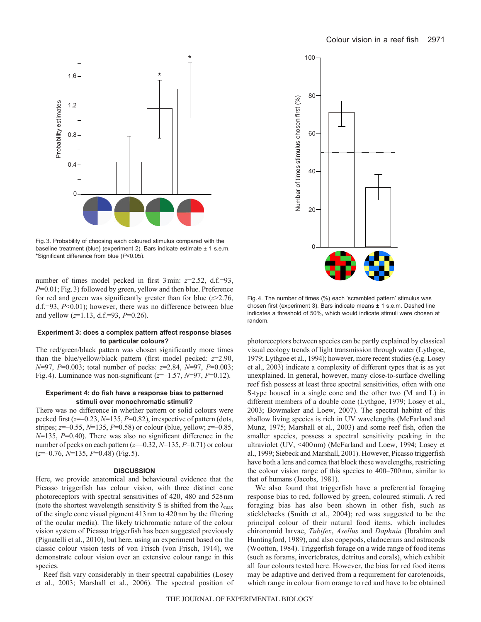

Fig. 3. Probability of choosing each coloured stimulus compared with the baseline treatment (blue) (experiment 2). Bars indicate estimate ± 1 s.e.m. \*Significant difference from blue (*P*<0.05).

number of times model pecked in first 3min: *z*=2.52, d.f.=93, *P*=0.01; Fig.3) followed by green, yellow and then blue. Preference for red and green was significantly greater than for blue (*z*>2.76, d.f.=93, *P*<0.01); however, there was no difference between blue and yellow (*z*=1.13, d.f.=93, *P*=0.26).

#### **Experiment 3: does a complex pattern affect response biases to particular colours?**

The red/green/black pattern was chosen significantly more times than the blue/yellow/black pattern (first model pecked: *z*=2.90, *N*=97, *P*=0.003; total number of pecks: *z*=2.84, *N*=97, *P*=0.003; Fig.4). Luminance was non-significant (*z*=–1.57, *N*=97, *P*=0.12).

# **Experiment 4: do fish have a response bias to patterned stimuli over monochromatic stimuli?**

There was no difference in whether pattern or solid colours were pecked first (*z*=–0.23, *N*=135, *P*=0.82), irrespective of pattern (dots, stripes; *z*=–0.55, *N*=135, *P*=0.58) or colour (blue, yellow; *z*=–0.85, *N*=135, *P*=0.40). There was also no significant difference in the number of pecks on each pattern  $(z=0.32, N=135, P=0.71)$  or colour (*z*=–0.76, *N*=135, *P*=0.48) (Fig.5).

#### **DISCUSSION**

Here, we provide anatomical and behavioural evidence that the Picasso triggerfish has colour vision, with three distinct cone photoreceptors with spectral sensitivities of 420, 480 and 528nm (note the shortest wavelength sensitivity S is shifted from the  $\lambda_{\text{max}}$ of the single cone visual pigment 413nm to 420nm by the filtering of the ocular media). The likely trichromatic nature of the colour vision system of Picasso triggerfish has been suggested previously (Pignatelli et al., 2010), but here, using an experiment based on the classic colour vision tests of von Frisch (von Frisch, 1914), we demonstrate colour vision over an extensive colour range in this species.

Reef fish vary considerably in their spectral capabilities (Losey et al., 2003; Marshall et al., 2006). The spectral position of



Fig. 4. The number of times (%) each 'scrambled pattern' stimulus was chosen first (experiment 3). Bars indicate means ± 1 s.e.m. Dashed line indicates a threshold of 50%, which would indicate stimuli were chosen at random.

photoreceptors between species can be partly explained by classical visual ecology trends of light transmission through water (Lythgoe, 1979; Lythgoe et al., 1994); however, more recent studies (e.g. Losey et al., 2003) indicate a complexity of different types that is as yet unexplained. In general, however, many close-to-surface dwelling reef fish possess at least three spectral sensitivities, often with one S-type housed in a single cone and the other two (M and L) in different members of a double cone (Lythgoe, 1979; Losey et al., 2003; Bowmaker and Loew, 2007). The spectral habitat of this shallow living species is rich in UV wavelengths (McFarland and Munz, 1975; Marshall et al., 2003) and some reef fish, often the smaller species, possess a spectral sensitivity peaking in the ultraviolet (UV, <400nm) (McFarland and Loew, 1994; Losey et al., 1999; Siebeck and Marshall, 2001). However, Picasso triggerfish have both a lens and cornea that block these wavelengths, restricting the colour vision range of this species to 400–700nm, similar to that of humans (Jacobs, 1981).

We also found that triggerfish have a preferential foraging response bias to red, followed by green, coloured stimuli. A red foraging bias has also been shown in other fish, such as sticklebacks (Smith et al., 2004); red was suggested to be the principal colour of their natural food items, which includes chironomid larvae, *Tubifex*, *Asellus* and *Daphnia* (Ibrahim and Huntingford, 1989), and also copepods, cladocerans and ostracods (Wootton, 1984). Triggerfish forage on a wide range of food items (such as forams, invertebrates, detritus and corals), which exhibit all four colours tested here. However, the bias for red food items may be adaptive and derived from a requirement for carotenoids, which range in colour from orange to red and have to be obtained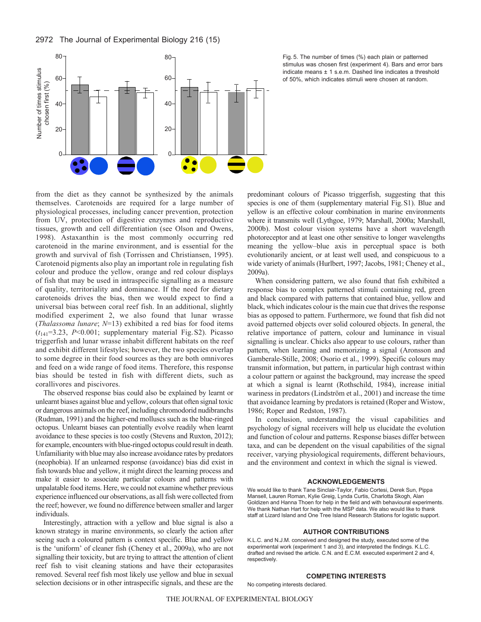2972 The Journal of Experimental Biology 216 (15)



stimulus was chosen first (experiment 4). Bars and error bars indicate means ± 1 s.e.m. Dashed line indicates a threshold of 50%, which indicates stimuli were chosen at random.

from the diet as they cannot be synthesized by the animals themselves. Carotenoids are required for a large number of physiological processes, including cancer prevention, protection from UV, protection of digestive enzymes and reproductive tissues, growth and cell differentiation (see Olson and Owens, 1998). Astaxanthin is the most commonly occurring red carotenoid in the marine environment, and is essential for the growth and survival of fish (Torrissen and Christiansen, 1995). Carotenoid pigments also play an important role in regulating fish colour and produce the yellow, orange and red colour displays of fish that may be used in intraspecific signalling as a measure of quality, territoriality and dominance. If the need for dietary carotenoids drives the bias, then we would expect to find a universal bias between coral reef fish. In an additional, slightly modified experiment 2, we also found that lunar wrasse (*Thalassoma lunare*; *N*=13) exhibited a red bias for food items (*t*141=3.23, *P*<0.001; supplementary material Fig.S2). Picasso triggerfish and lunar wrasse inhabit different habitats on the reef and exhibit different lifestyles; however, the two species overlap to some degree in their food sources as they are both omnivores and feed on a wide range of food items. Therefore, this response bias should be tested in fish with different diets, such as corallivores and piscivores.

The observed response bias could also be explained by learnt or unlearnt biases against blue and yellow, colours that often signal toxic or dangerous animals on the reef, including chromodorid nudibranchs (Rudman, 1991) and the higher-end molluscs such as the blue-ringed octopus. Unlearnt biases can potentially evolve readily when learnt avoidance to these species is too costly (Stevens and Ruxton, 2012); for example, encounters with blue-ringed octopus could result in death. Unfamiliarity with blue may also increase avoidance rates by predators (neophobia). If an unlearned response (avoidance) bias did exist in fish towards blue and yellow, it might direct the learning process and make it easier to associate particular colours and patterns with unpalatable food items. Here, we could not examine whether previous experience influenced our observations, as all fish were collected from the reef; however, we found no difference between smaller and larger individuals.

Interestingly, attraction with a yellow and blue signal is also a known strategy in marine environments, so clearly the action after seeing such a coloured pattern is context specific. Blue and yellow is the 'uniform' of cleaner fish (Cheney et al., 2009a), who are not signalling their toxicity, but are trying to attract the attention of client reef fish to visit cleaning stations and have their ectoparasites removed. Several reef fish most likely use yellow and blue in sexual selection decisions or in other intraspecific signals, and these are the predominant colours of Picasso triggerfish, suggesting that this species is one of them (supplementary material Fig.S1). Blue and yellow is an effective colour combination in marine environments where it transmits well (Lythgoe, 1979; Marshall, 2000a; Marshall, 2000b). Most colour vision systems have a short wavelength photoreceptor and at least one other sensitive to longer wavelengths meaning the yellow–blue axis in perceptual space is both evolutionarily ancient, or at least well used, and conspicuous to a wide variety of animals (Hurlbert, 1997; Jacobs, 1981; Cheney et al., 2009a).

When considering pattern, we also found that fish exhibited a response bias to complex patterned stimuli containing red, green and black compared with patterns that contained blue, yellow and black, which indicates colour is the main cue that drives the response bias as opposed to pattern. Furthermore, we found that fish did not avoid patterned objects over solid coloured objects. In general, the relative importance of pattern, colour and luminance in visual signalling is unclear. Chicks also appear to use colours, rather than pattern, when learning and memorizing a signal (Aronsson and Gamberale-Stille, 2008; Osorio et al., 1999). Specific colours may transmit information, but pattern, in particular high contrast within a colour pattern or against the background, may increase the speed at which a signal is learnt (Rothschild, 1984), increase initial wariness in predators (Lindström et al., 2001) and increase the time that avoidance learning by predators is retained (Roper and Wistow, 1986; Roper and Redston, 1987).

In conclusion, understanding the visual capabilities and psychology of signal receivers will help us elucidate the evolution and function of colour and patterns. Response biases differ between taxa, and can be dependent on the visual capabilities of the signal receiver, varying physiological requirements, different behaviours, and the environment and context in which the signal is viewed.

#### **ACKNOWLEDGEMENTS**

We would like to thank Tane Sinclair-Taylor, Fabio Cortesi, Derek Sun, Pippa Mansell, Lauren Roman, Kylie Greig, Lynda Curtis, Charlotta Skogh, Alan Goldizen and Hanna Thoen for help in the field and with behavioural experiments. We thank Nathan Hart for help with the MSP data. We also would like to thank staff at Lizard Island and One Tree Island Research Stations for logistic support.

#### **AUTHOR CONTRIBUTIONS**

K.L.C. and N.J.M. conceived and designed the study, executed some of the experimental work (experiment 1 and 3), and interpreted the findings. K.L.C. drafted and revised the article. C.N. and E.C.M. executed experiment 2 and 4, respectively.

#### **COMPETING INTERESTS**

No competing interests declared.